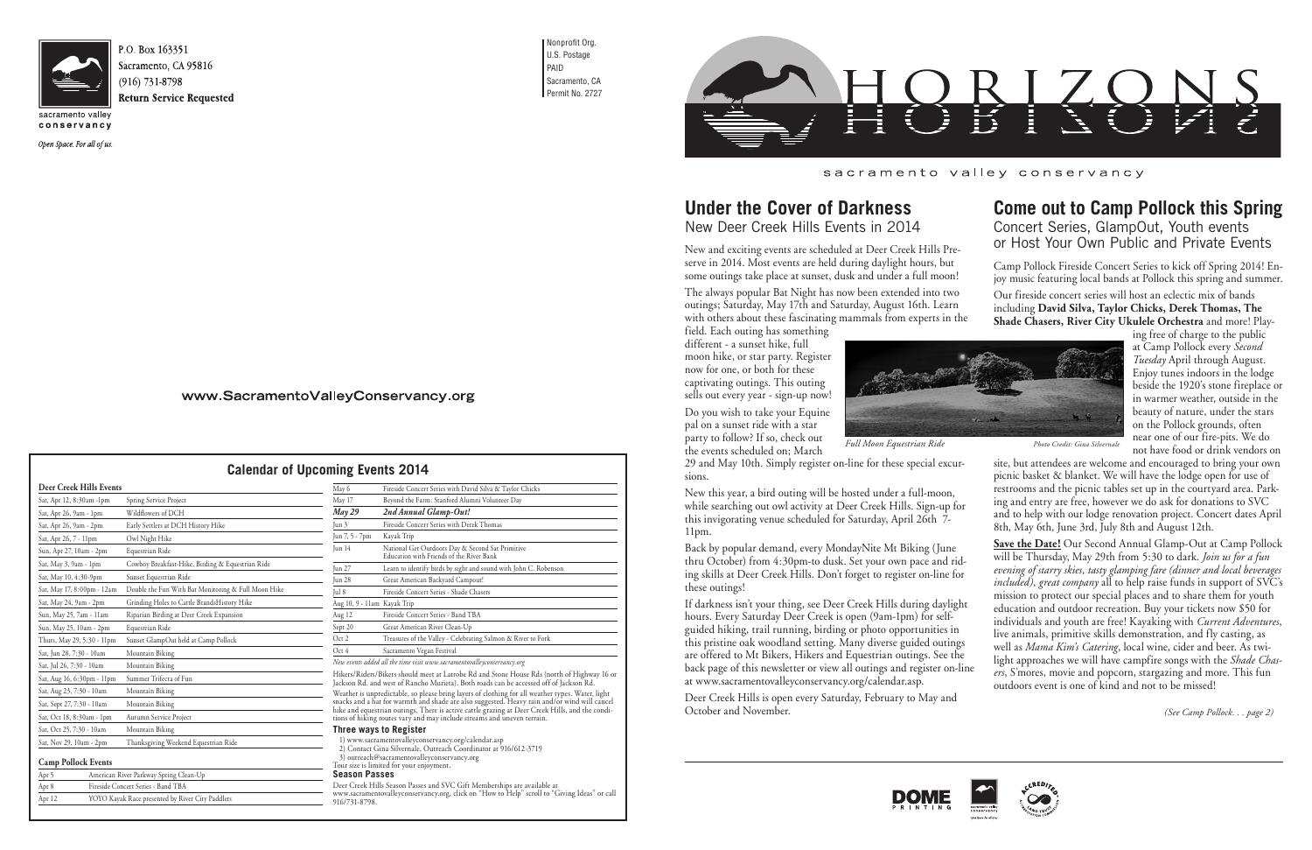

conservancy

Open Space. For all of us.

Nonprofit Org. U.S. Postage PAID Sacramento, CA Permit No. 2727



# **Under the Cover of Darkness**

New Deer Creek Hills Events in 2014

New and exciting events are scheduled at Deer Creek Hills Preserve in 2014. Most events are held during daylight hours, but some outings take place at sunset, dusk and under a full moon!

The always popular Bat Night has now been extended into two outings; Saturday, May 17th and Saturday, August 16th. Learn with others about these fascinating mammals from experts in the

field. Each outing has something different - a sunset hike, full moon hike, or star party. Register now for one, or both for these captivating outings. This outing sells out every year - sign-up now!

Do you wish to take your Equine pal on a sunset ride with a star party to follow? If so, check out the events scheduled on; March

29 and May 10th. Simply register on-line for these special excursions.

New this year, a bird outing will be hosted under a full-moon, while searching out owl activity at Deer Creek Hills. Sign-up for this invigorating venue scheduled for Saturday, April 26th 7- 11pm.

Back by popular demand, every MondayNite Mt Biking (June thru October) from 4:30pm-to dusk. Set your own pace and riding skills at Deer Creek Hills. Don't forget to register on-line for these outings!

If darkness isn't your thing, see Deer Creek Hills during daylight hours. Every Saturday Deer Creek is open (9am-1pm) for selfguided hiking, trail running, birding or photo opportunities in this pristine oak woodland setting. Many diverse guided outings are offered to Mt Bikers, Hikers and Equestrian outings. See the back page of this newsletter or view all outings and register on-line at www.sacramentovalleyconservancy.org/calendar.asp.

Deer Creek Hills is open every Saturday, February to May and October and November.

### www.SacramentoValleyConservancy.org

Hikers/Riders/Bikers should meet at Latrobe Rd and Stone House Rds (north of Highway 16 or Jackson Rd. and west of Rancho Murieta). Both roads can be accessed off of Jackson Rd. Weather is unpredictable, so please bring layers of clothing for all weather types. Water, light snacks and a hat for warmth and shade are also suggested. Heavy rain and/or wind will cancel

hike and equestrian outings. There is active cattle grazing at Deer Creek Hills, and the conditions of hiking routes vary and may include streams and uneven terrain. **Three ways to Register**

1) www.sacramentovalleyconservancy.org/calendar.asp 2) Contact Gina Silvernale, Outreach Coordinator at 916/612-3719

3) outreach@sacramentovalleyconservancy.org

Tour size is limited for your enjoyment. **Season Passes**

Deer Creek Hills Season Passes and SVC Gift Memberships are available at

www.sacramentovalleyconservancy.org, click on "How to Help" scroll to "Giving Ideas" or call 916/731-8798.

#### sacramento valley conservancy

### **Calendar of Upcoming Events 2014**

**Come out to Camp Pollock this Spring** Concert Series, GlampOut, Youth events or Host Your Own Public and Private Events

Camp Pollock Fireside Concert Series to kick off Spring 2014! Enjoy music featuring local bands at Pollock this spring and summer.

Our fireside concert series will host an eclectic mix of bands including **David Silva, Taylor Chicks, Derek Thomas, The Shade Chasers, River City Ukulele Orchestra** and more! Play-

ing free of charge to the public at Camp Pollock every *Second Tuesday* April through August. Enjoy tunes indoors in the lodge beside the 1920's stone fireplace or in warmer weather, outside in the beauty of nature, under the stars on the Pollock grounds, often near one of our fire-pits. We do not have food or drink vendors on

site, but attendees are welcome and encouraged to bring your own picnic basket & blanket. We will have the lodge open for use of restrooms and the picnic tables set up in the courtyard area. Parking and entry are free, however we do ask for donations to SVC and to help with our lodge renovation project. Concert dates April 8th, May 6th, June 3rd, July 8th and August 12th.

**Save the Date!** Our Second Annual Glamp-Out at Camp Pollock will be Thursday, May 29th from 5:30 to dark. *Join us for a fun evening of starry skies, tasty glamping fare (dinner and local beverages included), great company* all to help raise funds in support of SVC's mission to protect our special places and to share them for youth education and outdoor recreation. Buy your tickets now \$50 for individuals and youth are free! Kayaking with *Current Adventures*, live animals, primitive skills demonstration, and fly casting, as well as *Mama Kim's Catering*, local wine, cider and beer. As twilight approaches we will have campfire songs with the *Shade Chasers*, S'mores, movie and popcorn, stargazing and more. This fun outdoors event is one of kind and not to be missed!

*(See Camp Pollock. . . page 2)*





| Sat, Apr 12, 8:30am -1pm   | Spring Service Project                              |
|----------------------------|-----------------------------------------------------|
| Sat, Apr 26, 9am - 1pm     | Wildflowers of DCH                                  |
| Sat, Apr 26, 9am - 2pm     | Early Settlers at DCH History Hike                  |
| Sat, Apr 26, 7 - 11pm      | Owl Night Hike                                      |
| Sun, Apr 27, 10am - 2pm    | Equestrian Ride                                     |
| Sat, May 3, 9am - 1pm      | Cowboy Breakfast-Hike, Birding & Equestrian Ride    |
| Sat, May 10, 4:30-9pm      | Sunset Equestrian Ride                              |
| Sat, May 17, 8:00pm - 12am | Double the Fun With Bat Monitoring & Full Moon Hike |
| Sat, May 24, 9am - 2pm     | Grinding Holes to Cattle BrandsHistory Hike         |
| Sun, May 25, 7am - 11am    | Riparian Birding at Deer Creek Expansion            |
| Sun, May 25, 10am - 2pm    | Equestrian Ride                                     |
| Thurs, May 29, 5:30 - 11pm | Sunset GlampOut held at Camp Pollock                |
| Sat, Jun 28, 7:30 - 10am   | Mountain Biking                                     |
| Sat, Jul 26, 7:30 - 10am   | Mountain Biking                                     |
| Sat, Aug 16, 6:30pm - 11pm | Summer Trifecta of Fun                              |
| Sat, Aug 23, 7:30 - 10am   | Mountain Biking                                     |
| Sat, Sept 27, 7:30 - 10am  | Mountain Biking                                     |
| Sat, Oct 18, 8:30am - 1pm  | Autumn Service Project                              |
| Sat, Oct 25, 7:30 - 10am   | Mountain Biking                                     |
| Sat, Nov 29, 10am - 2pm    | Thanksgiving Weekend Equestrian Ride                |

#### **Camp Pollock Events**

| Apr 5 | American River Parkway Spring Clean-Up |
|-------|----------------------------------------|
| Apr 8 | Fireside Concert Series - Band TBA     |
|       | $\cdots$                               |

| дрг о  | Fireside Concert Series - Dand TDA               |
|--------|--------------------------------------------------|
| Apr 12 | YOYO Kayak Race presented by River City Paddlers |
|        |                                                  |

| May 6                       | Fireside Concert Series with David Silva & Taylor Chicks                                     |
|-----------------------------|----------------------------------------------------------------------------------------------|
| May 17                      | Beyond the Farm: Stanford Alumni Volunteer Day                                               |
| $M$ ay 29                   | 2nd Annual Glamp-Out!                                                                        |
| Jun 3                       | Fireside Concert Series with Derek Thomas                                                    |
| Jun 7, 5 - 7pm              | Kayak Trip                                                                                   |
| $\lceil$ un 14              | National Get Outdoors Day & Second Sat Primitive<br>Education with Friends of the River Bank |
| Jun 27                      | Learn to identify birds by sight and sound with John C. Robenson                             |
| Jun $28$                    | Great American Backyard Campout!                                                             |
| Jul 8                       | Fireside Concert Series - Shade Chasers                                                      |
| Aug 10, 9 - 11am Kayak Trip |                                                                                              |
| Aug 12                      | Fireside Concert Series - Band TBA                                                           |
| Sept 20                     | Great American River Clean-Up                                                                |
| Oct 2                       | Treasures of the Valley - Celebrating Salmon & River to Fork                                 |
| Oct 4                       | Sacramento Vegan Festival                                                                    |

*New events added all the time visit www.sacramentovalleyconservancy.org*